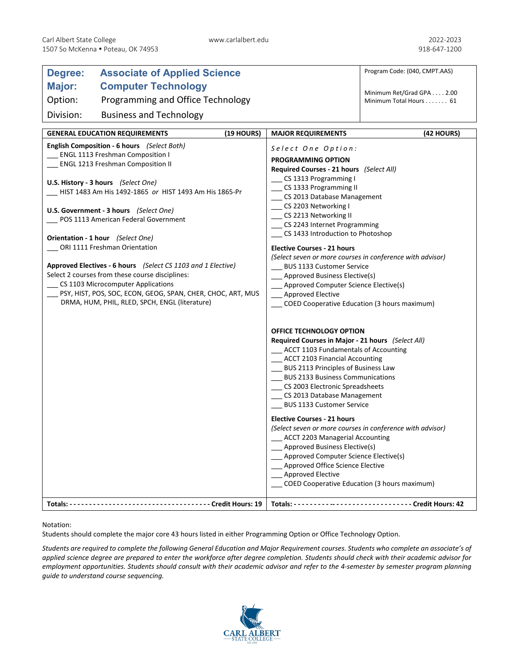| <b>Associate of Applied Science</b><br>Degree:                                                                                                                                                                                                                                                                                                                                                                                                                                                                                                                                                                                                                           |                                                                                                                                                                                                                                                                                                                                                                                                                                                                                                                                                                                                                                                                                            | Program Code: (040, CMPT.AAS)                           |
|--------------------------------------------------------------------------------------------------------------------------------------------------------------------------------------------------------------------------------------------------------------------------------------------------------------------------------------------------------------------------------------------------------------------------------------------------------------------------------------------------------------------------------------------------------------------------------------------------------------------------------------------------------------------------|--------------------------------------------------------------------------------------------------------------------------------------------------------------------------------------------------------------------------------------------------------------------------------------------------------------------------------------------------------------------------------------------------------------------------------------------------------------------------------------------------------------------------------------------------------------------------------------------------------------------------------------------------------------------------------------------|---------------------------------------------------------|
| <b>Major:</b><br><b>Computer Technology</b>                                                                                                                                                                                                                                                                                                                                                                                                                                                                                                                                                                                                                              |                                                                                                                                                                                                                                                                                                                                                                                                                                                                                                                                                                                                                                                                                            | Minimum Ret/Grad GPA 2.00                               |
| Option:<br>Programming and Office Technology                                                                                                                                                                                                                                                                                                                                                                                                                                                                                                                                                                                                                             |                                                                                                                                                                                                                                                                                                                                                                                                                                                                                                                                                                                                                                                                                            | Minimum Total Hours 61                                  |
| Division:<br><b>Business and Technology</b>                                                                                                                                                                                                                                                                                                                                                                                                                                                                                                                                                                                                                              |                                                                                                                                                                                                                                                                                                                                                                                                                                                                                                                                                                                                                                                                                            |                                                         |
| (19 HOURS)<br><b>GENERAL EDUCATION REQUIREMENTS</b>                                                                                                                                                                                                                                                                                                                                                                                                                                                                                                                                                                                                                      | <b>MAJOR REQUIREMENTS</b>                                                                                                                                                                                                                                                                                                                                                                                                                                                                                                                                                                                                                                                                  | (42 HOURS)                                              |
| English Composition - 6 hours (Select Both)<br><b>ENGL 1113 Freshman Composition I</b><br><b>ENGL 1213 Freshman Composition II</b><br>U.S. History - 3 hours (Select One)<br>HIST 1483 Am His 1492-1865 or HIST 1493 Am His 1865-Pr<br>U.S. Government - 3 hours (Select One)<br>POS 1113 American Federal Government<br>Orientation - 1 hour (Select One)<br>__ ORI 1111 Freshman Orientation<br>Approved Electives - 6 hours (Select CS 1103 and 1 Elective)<br>Select 2 courses from these course disciplines:<br>CS 1103 Microcomputer Applications<br>PSY, HIST, POS, SOC, ECON, GEOG, SPAN, CHER, CHOC, ART, MUS<br>DRMA, HUM, PHIL, RLED, SPCH, ENGL (literature) | Select One Option:<br><b>PROGRAMMING OPTION</b><br>Required Courses - 21 hours (Select All)<br>_ CS 1313 Programming I<br>CS 1333 Programming II<br>CS 2013 Database Management<br>___ CS 2203 Networking I<br>___ CS 2213 Networking II<br>_ CS 2243 Internet Programming<br>CS 1433 Introduction to Photoshop<br><b>Elective Courses - 21 hours</b><br>(Select seven or more courses in conference with advisor)<br><b>BUS 1133 Customer Service</b><br>__ Approved Business Elective(s)<br>___ Approved Computer Science Elective(s)<br><b>Approved Elective</b><br>COED Cooperative Education (3 hours maximum)                                                                        |                                                         |
|                                                                                                                                                                                                                                                                                                                                                                                                                                                                                                                                                                                                                                                                          | OFFICE TECHNOLOGY OPTION<br>Required Courses in Major - 21 hours (Select All)<br>___ ACCT 1103 Fundamentals of Accounting<br>__ ACCT 2103 Financial Accounting<br>BUS 2113 Principles of Business Law<br>__ BUS 2133 Business Communications<br>__ CS 2003 Electronic Spreadsheets<br>CS 2013 Database Management<br>BUS 1133 Customer Service<br><b>Elective Courses - 21 hours</b><br>(Select seven or more courses in conference with advisor)<br>__ ACCT 2203 Managerial Accounting<br>_ Approved Business Elective(s)<br>Approved Computer Science Elective(s)<br>Approved Office Science Elective<br><b>Approved Elective</b><br><b>COED Cooperative Education (3 hours maximum)</b> |                                                         |
|                                                                                                                                                                                                                                                                                                                                                                                                                                                                                                                                                                                                                                                                          |                                                                                                                                                                                                                                                                                                                                                                                                                                                                                                                                                                                                                                                                                            | Totals: ------------------------------ Credit Hours: 42 |

Notation:

Students should complete the major core 43 hours listed in either Programming Option or Office Technology Option.

*Students are required to complete the following General Education and Major Requirement courses. Students who complete an associate's of applied science degree are prepared to enter the workforce after degree completion. Students should check with their academic advisor for employment opportunities. Students should consult with their academic advisor and refer to the 4-semester by semester program planning guide to understand course sequencing.*